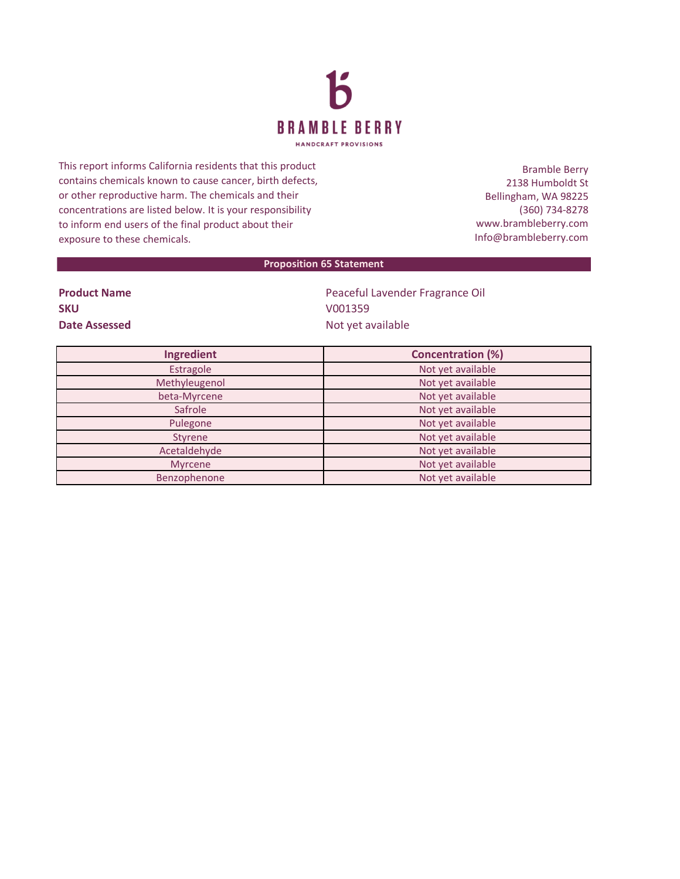

This report informs California residents that this product contains chemicals known to cause cancer, birth defects, or other reproductive harm. The chemicals and their concentrations are listed below. It is your responsibility to inform end users of the final product about their exposure to these chemicals.

Bramble Berry 2138 Humboldt St Bellingham, WA 98225 (360) 734-8278 www.brambleberry.com Info@brambleberry.com

## **Proposition 65 Statement**

| <b>Product Name</b> |  |
|---------------------|--|
| <b>SKU</b>          |  |
| Date Assessed       |  |

Peaceful Lavender Fragrance Oil **SKU** V001359 **Date Assessed** Not yet available

| Ingredient     | <b>Concentration (%)</b> |
|----------------|--------------------------|
| Estragole      | Not yet available        |
| Methyleugenol  | Not yet available        |
| beta-Myrcene   | Not yet available        |
| Safrole        | Not yet available        |
| Pulegone       | Not yet available        |
| Styrene        | Not yet available        |
| Acetaldehyde   | Not yet available        |
| <b>Myrcene</b> | Not yet available        |
| Benzophenone   | Not yet available        |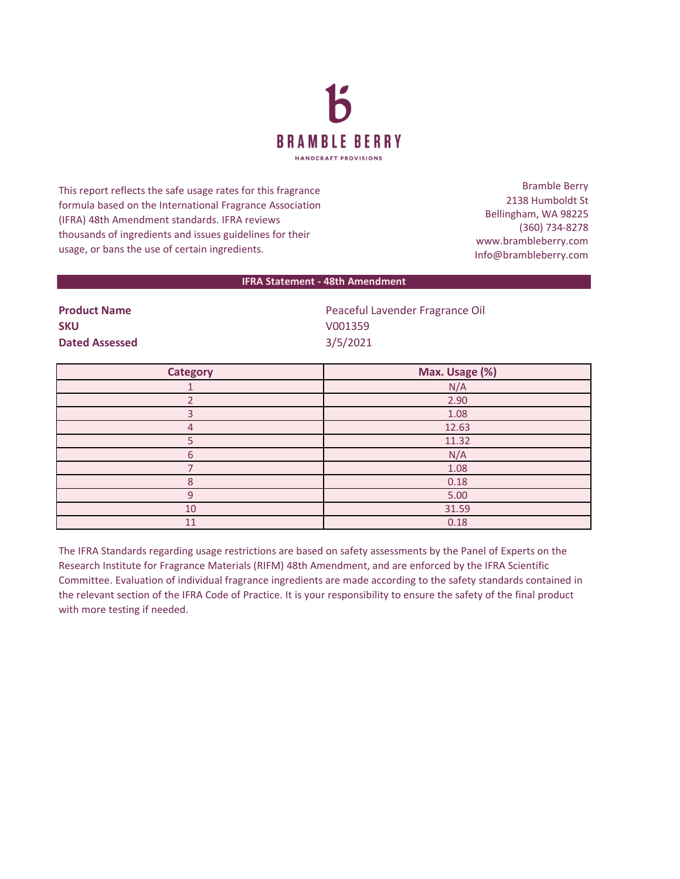

This report reflects the safe usage rates for this fragrance formula based on the International Fragrance Association (IFRA) 48th Amendment standards. IFRA reviews thousands of ingredients and issues guidelines for their usage, or bans the use of certain ingredients.

Bramble Berry 2138 Humboldt St Bellingham, WA 98225 (360) 734-8278 www.brambleberry.com Info@brambleberry.com

## **IFRA Statement - 48th Amendment**

| <b>Product Name</b>   | Peaceful Lavender Fragrance Oil |
|-----------------------|---------------------------------|
| <b>SKU</b>            | V001359                         |
| <b>Dated Assessed</b> | 3/5/2021                        |

| <b>Category</b> | Max. Usage (%) |
|-----------------|----------------|
|                 | N/A            |
|                 | 2.90           |
|                 | 1.08           |
| 4               | 12.63          |
|                 | 11.32          |
| 6               | N/A            |
|                 | 1.08           |
| 8               | 0.18           |
| q               | 5.00           |
| 10              | 31.59          |
| 11              | 0.18           |

The IFRA Standards regarding usage restrictions are based on safety assessments by the Panel of Experts on the Research Institute for Fragrance Materials (RIFM) 48th Amendment, and are enforced by the IFRA Scientific Committee. Evaluation of individual fragrance ingredients are made according to the safety standards contained in the relevant section of the IFRA Code of Practice. It is your responsibility to ensure the safety of the final product with more testing if needed.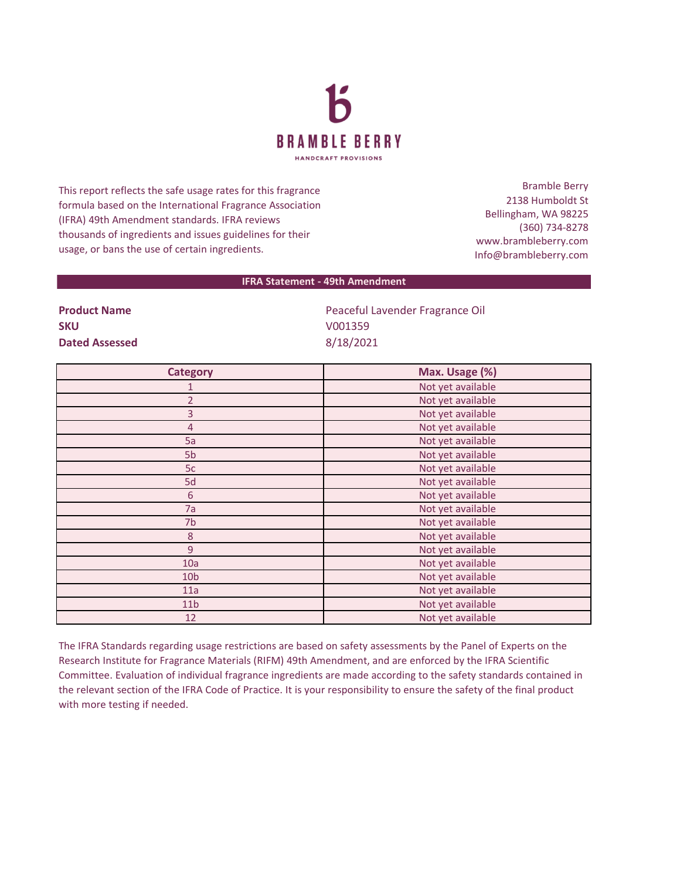

This report reflects the safe usage rates for this fragrance formula based on the International Fragrance Association (IFRA) 49th Amendment standards. IFRA reviews thousands of ingredients and issues guidelines for their usage, or bans the use of certain ingredients.

Bramble Berry 2138 Humboldt St Bellingham, WA 98225 (360) 734-8278 www.brambleberry.com Info@brambleberry.com

## **IFRA Statement - 49th Amendment**

**SKU** V001359 **Dated Assessed** 8/18/2021

**Product Name Product Name Peaceful Lavender Fragrance Oil** 

| <b>Category</b> | Max. Usage (%)    |
|-----------------|-------------------|
| 1               | Not yet available |
| $\overline{2}$  | Not yet available |
| 3               | Not yet available |
| $\overline{4}$  | Not yet available |
| 5a              | Not yet available |
| 5 <sub>b</sub>  | Not yet available |
| 5c              | Not yet available |
| 5d              | Not yet available |
| $\sqrt{6}$      | Not yet available |
| 7a              | Not yet available |
| 7b              | Not yet available |
| 8               | Not yet available |
| $\overline{9}$  | Not yet available |
| 10a             | Not yet available |
| 10 <sub>b</sub> | Not yet available |
| 11a             | Not yet available |
| 11 <sub>b</sub> | Not yet available |
| 12              | Not yet available |

The IFRA Standards regarding usage restrictions are based on safety assessments by the Panel of Experts on the Research Institute for Fragrance Materials (RIFM) 49th Amendment, and are enforced by the IFRA Scientific Committee. Evaluation of individual fragrance ingredients are made according to the safety standards contained in the relevant section of the IFRA Code of Practice. It is your responsibility to ensure the safety of the final product with more testing if needed.